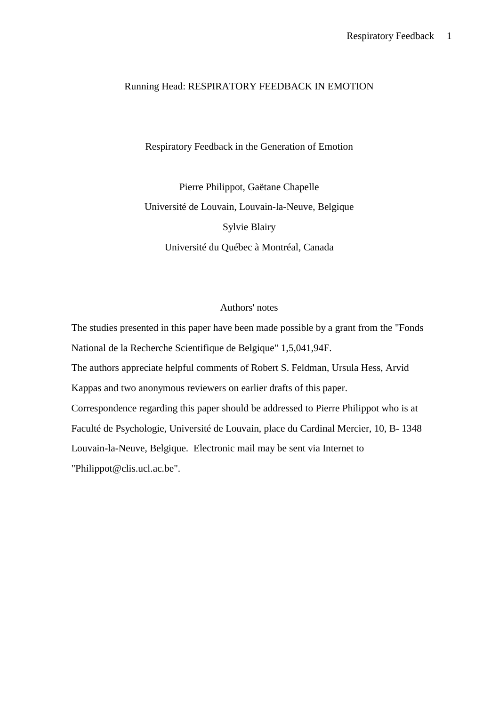## Running Head: RESPIRATORY FEEDBACK IN EMOTION

Respiratory Feedback in the Generation of Emotion

Pierre Philippot, Gaëtane Chapelle Université de Louvain, Louvain-la-Neuve, Belgique Sylvie Blairy Université du Québec à Montréal, Canada

# Authors' notes

The studies presented in this paper have been made possible by a grant from the "Fonds National de la Recherche Scientifique de Belgique" 1,5,041,94F. The authors appreciate helpful comments of Robert S. Feldman, Ursula Hess, Arvid Kappas and two anonymous reviewers on earlier drafts of this paper. Correspondence regarding this paper should be addressed to Pierre Philippot who is at Faculté de Psychologie, Université de Louvain, place du Cardinal Mercier, 10, B- 1348 Louvain-la-Neuve, Belgique. Electronic mail may be sent via Internet to "Philippot@clis.ucl.ac.be".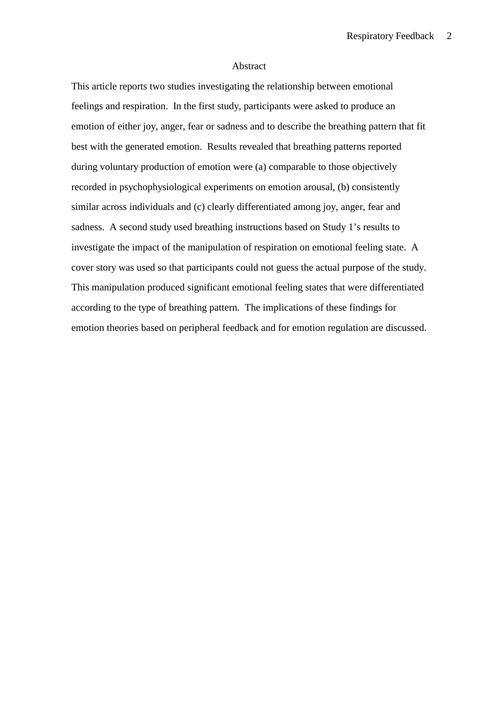#### Abstract

This article reports two studies investigating the relationship between emotional feelings and respiration. In the first study, participants were asked to produce an emotion of either joy, anger, fear or sadness and to describe the breathing pattern that fit best with the generated emotion. Results revealed that breathing patterns reported during voluntary production of emotion were (a) comparable to those objectively recorded in psychophysiological experiments on emotion arousal, (b) consistently similar across individuals and (c) clearly differentiated among joy, anger, fear and sadness. A second study used breathing instructions based on Study 1's results to investigate the impact of the manipulation of respiration on emotional feeling state. A cover story was used so that participants could not guess the actual purpose of the study. This manipulation produced significant emotional feeling states that were differentiated according to the type of breathing pattern. The implications of these findings for emotion theories based on peripheral feedback and for emotion regulation are discussed.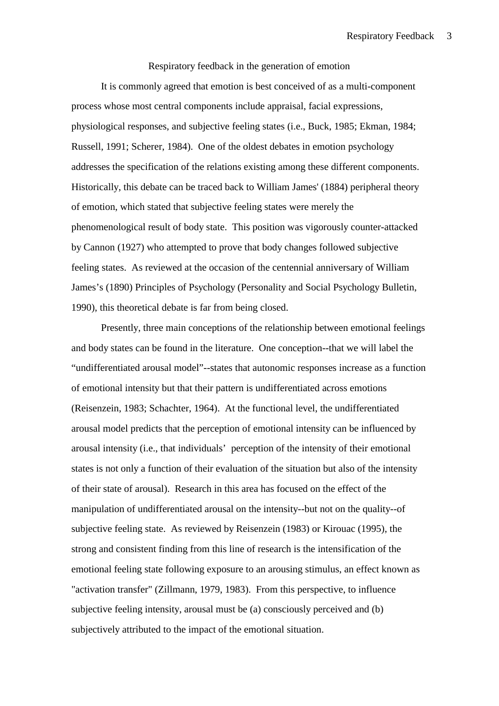Respiratory feedback in the generation of emotion

 It is commonly agreed that emotion is best conceived of as a multi-component process whose most central components include appraisal, facial expressions, physiological responses, and subjective feeling states (i.e., Buck, 1985; Ekman, 1984; Russell, 1991; Scherer, 1984). One of the oldest debates in emotion psychology addresses the specification of the relations existing among these different components. Historically, this debate can be traced back to William James' (1884) peripheral theory of emotion, which stated that subjective feeling states were merely the phenomenological result of body state. This position was vigorously counter-attacked by Cannon (1927) who attempted to prove that body changes followed subjective feeling states. As reviewed at the occasion of the centennial anniversary of William James's (1890) Principles of Psychology (Personality and Social Psychology Bulletin, 1990), this theoretical debate is far from being closed.

 Presently, three main conceptions of the relationship between emotional feelings and body states can be found in the literature. One conception--that we will label the "undifferentiated arousal model"--states that autonomic responses increase as a function of emotional intensity but that their pattern is undifferentiated across emotions (Reisenzein, 1983; Schachter, 1964). At the functional level, the undifferentiated arousal model predicts that the perception of emotional intensity can be influenced by arousal intensity (i.e., that individuals' perception of the intensity of their emotional states is not only a function of their evaluation of the situation but also of the intensity of their state of arousal). Research in this area has focused on the effect of the manipulation of undifferentiated arousal on the intensity--but not on the quality--of subjective feeling state. As reviewed by Reisenzein (1983) or Kirouac (1995), the strong and consistent finding from this line of research is the intensification of the emotional feeling state following exposure to an arousing stimulus, an effect known as "activation transfer" (Zillmann, 1979, 1983). From this perspective, to influence subjective feeling intensity, arousal must be (a) consciously perceived and (b) subjectively attributed to the impact of the emotional situation.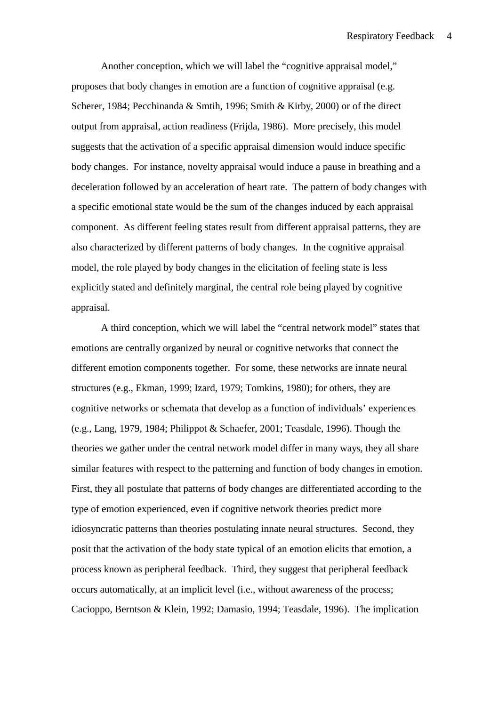Another conception, which we will label the "cognitive appraisal model," proposes that body changes in emotion are a function of cognitive appraisal (e.g. Scherer, 1984; Pecchinanda & Smtih, 1996; Smith & Kirby, 2000) or of the direct output from appraisal, action readiness (Frijda, 1986). More precisely, this model suggests that the activation of a specific appraisal dimension would induce specific body changes. For instance, novelty appraisal would induce a pause in breathing and a deceleration followed by an acceleration of heart rate. The pattern of body changes with a specific emotional state would be the sum of the changes induced by each appraisal component. As different feeling states result from different appraisal patterns, they are also characterized by different patterns of body changes. In the cognitive appraisal model, the role played by body changes in the elicitation of feeling state is less explicitly stated and definitely marginal, the central role being played by cognitive appraisal.

 A third conception, which we will label the "central network model" states that emotions are centrally organized by neural or cognitive networks that connect the different emotion components together. For some, these networks are innate neural structures (e.g., Ekman, 1999; Izard, 1979; Tomkins, 1980); for others, they are cognitive networks or schemata that develop as a function of individuals' experiences (e.g., Lang, 1979, 1984; Philippot & Schaefer, 2001; Teasdale, 1996). Though the theories we gather under the central network model differ in many ways, they all share similar features with respect to the patterning and function of body changes in emotion. First, they all postulate that patterns of body changes are differentiated according to the type of emotion experienced, even if cognitive network theories predict more idiosyncratic patterns than theories postulating innate neural structures. Second, they posit that the activation of the body state typical of an emotion elicits that emotion, a process known as peripheral feedback. Third, they suggest that peripheral feedback occurs automatically, at an implicit level (i.e., without awareness of the process; Cacioppo, Berntson & Klein, 1992; Damasio, 1994; Teasdale, 1996). The implication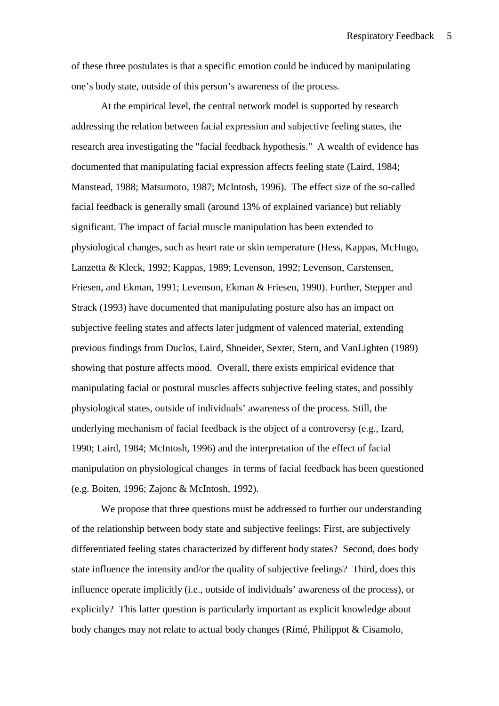of these three postulates is that a specific emotion could be induced by manipulating one's body state, outside of this person's awareness of the process.

 At the empirical level, the central network model is supported by research addressing the relation between facial expression and subjective feeling states, the research area investigating the "facial feedback hypothesis." A wealth of evidence has documented that manipulating facial expression affects feeling state (Laird, 1984; Manstead, 1988; Matsumoto, 1987; McIntosh, 1996). The effect size of the so-called facial feedback is generally small (around 13% of explained variance) but reliably significant. The impact of facial muscle manipulation has been extended to physiological changes, such as heart rate or skin temperature (Hess, Kappas, McHugo, Lanzetta & Kleck, 1992; Kappas, 1989; Levenson, 1992; Levenson, Carstensen, Friesen, and Ekman, 1991; Levenson, Ekman & Friesen, 1990). Further, Stepper and Strack (1993) have documented that manipulating posture also has an impact on subjective feeling states and affects later judgment of valenced material, extending previous findings from Duclos, Laird, Shneider, Sexter, Stern, and VanLighten (1989) showing that posture affects mood. Overall, there exists empirical evidence that manipulating facial or postural muscles affects subjective feeling states, and possibly physiological states, outside of individuals' awareness of the process. Still, the underlying mechanism of facial feedback is the object of a controversy (e.g., Izard, 1990; Laird, 1984; McIntosh, 1996) and the interpretation of the effect of facial manipulation on physiological changes in terms of facial feedback has been questioned (e.g. Boiten, 1996; Zajonc & McIntosh, 1992).

 We propose that three questions must be addressed to further our understanding of the relationship between body state and subjective feelings: First, are subjectively differentiated feeling states characterized by different body states? Second, does body state influence the intensity and/or the quality of subjective feelings? Third, does this influence operate implicitly (i.e., outside of individuals' awareness of the process), or explicitly? This latter question is particularly important as explicit knowledge about body changes may not relate to actual body changes (Rimé, Philippot & Cisamolo,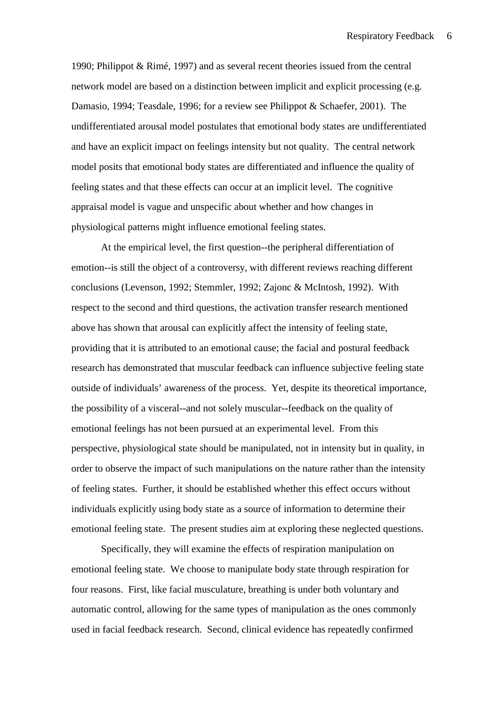1990; Philippot & Rimé, 1997) and as several recent theories issued from the central network model are based on a distinction between implicit and explicit processing (e.g. Damasio, 1994; Teasdale, 1996; for a review see Philippot & Schaefer, 2001). The undifferentiated arousal model postulates that emotional body states are undifferentiated and have an explicit impact on feelings intensity but not quality. The central network model posits that emotional body states are differentiated and influence the quality of feeling states and that these effects can occur at an implicit level. The cognitive appraisal model is vague and unspecific about whether and how changes in physiological patterns might influence emotional feeling states.

 At the empirical level, the first question--the peripheral differentiation of emotion--is still the object of a controversy, with different reviews reaching different conclusions (Levenson, 1992; Stemmler, 1992; Zajonc & McIntosh, 1992). With respect to the second and third questions, the activation transfer research mentioned above has shown that arousal can explicitly affect the intensity of feeling state, providing that it is attributed to an emotional cause; the facial and postural feedback research has demonstrated that muscular feedback can influence subjective feeling state outside of individuals' awareness of the process. Yet, despite its theoretical importance, the possibility of a visceral--and not solely muscular--feedback on the quality of emotional feelings has not been pursued at an experimental level. From this perspective, physiological state should be manipulated, not in intensity but in quality, in order to observe the impact of such manipulations on the nature rather than the intensity of feeling states. Further, it should be established whether this effect occurs without individuals explicitly using body state as a source of information to determine their emotional feeling state. The present studies aim at exploring these neglected questions.

 Specifically, they will examine the effects of respiration manipulation on emotional feeling state. We choose to manipulate body state through respiration for four reasons. First, like facial musculature, breathing is under both voluntary and automatic control, allowing for the same types of manipulation as the ones commonly used in facial feedback research. Second, clinical evidence has repeatedly confirmed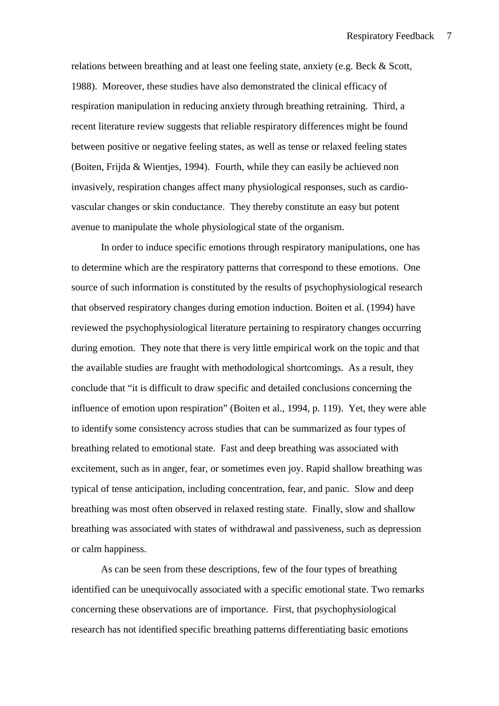relations between breathing and at least one feeling state, anxiety (e.g. Beck & Scott, 1988). Moreover, these studies have also demonstrated the clinical efficacy of respiration manipulation in reducing anxiety through breathing retraining. Third, a recent literature review suggests that reliable respiratory differences might be found between positive or negative feeling states, as well as tense or relaxed feeling states (Boiten, Frijda & Wientjes, 1994). Fourth, while they can easily be achieved non invasively, respiration changes affect many physiological responses, such as cardiovascular changes or skin conductance. They thereby constitute an easy but potent avenue to manipulate the whole physiological state of the organism.

 In order to induce specific emotions through respiratory manipulations, one has to determine which are the respiratory patterns that correspond to these emotions. One source of such information is constituted by the results of psychophysiological research that observed respiratory changes during emotion induction. Boiten et al. (1994) have reviewed the psychophysiological literature pertaining to respiratory changes occurring during emotion. They note that there is very little empirical work on the topic and that the available studies are fraught with methodological shortcomings. As a result, they conclude that "it is difficult to draw specific and detailed conclusions concerning the influence of emotion upon respiration" (Boiten et al., 1994, p. 119). Yet, they were able to identify some consistency across studies that can be summarized as four types of breathing related to emotional state. Fast and deep breathing was associated with excitement, such as in anger, fear, or sometimes even joy. Rapid shallow breathing was typical of tense anticipation, including concentration, fear, and panic. Slow and deep breathing was most often observed in relaxed resting state. Finally, slow and shallow breathing was associated with states of withdrawal and passiveness, such as depression or calm happiness.

 As can be seen from these descriptions, few of the four types of breathing identified can be unequivocally associated with a specific emotional state. Two remarks concerning these observations are of importance. First, that psychophysiological research has not identified specific breathing patterns differentiating basic emotions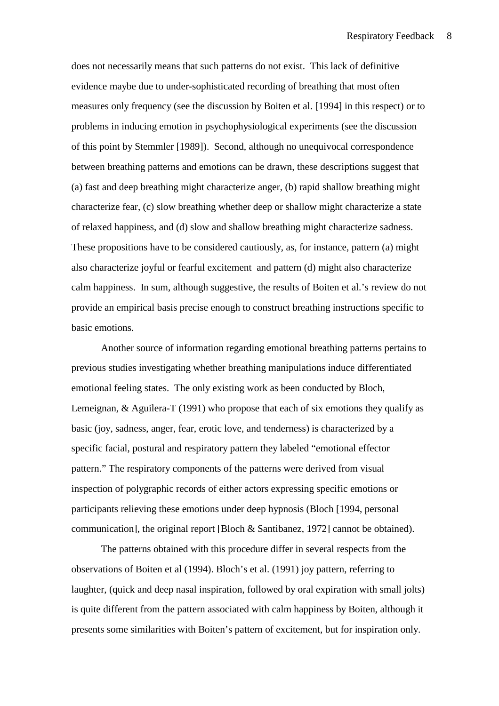does not necessarily means that such patterns do not exist. This lack of definitive evidence maybe due to under-sophisticated recording of breathing that most often measures only frequency (see the discussion by Boiten et al. [1994] in this respect) or to problems in inducing emotion in psychophysiological experiments (see the discussion of this point by Stemmler [1989]). Second, although no unequivocal correspondence between breathing patterns and emotions can be drawn, these descriptions suggest that (a) fast and deep breathing might characterize anger, (b) rapid shallow breathing might characterize fear, (c) slow breathing whether deep or shallow might characterize a state of relaxed happiness, and (d) slow and shallow breathing might characterize sadness. These propositions have to be considered cautiously, as, for instance, pattern (a) might also characterize joyful or fearful excitement and pattern (d) might also characterize calm happiness. In sum, although suggestive, the results of Boiten et al.'s review do not provide an empirical basis precise enough to construct breathing instructions specific to basic emotions.

 Another source of information regarding emotional breathing patterns pertains to previous studies investigating whether breathing manipulations induce differentiated emotional feeling states. The only existing work as been conducted by Bloch, Lemeignan, & Aguilera-T (1991) who propose that each of six emotions they qualify as basic (joy, sadness, anger, fear, erotic love, and tenderness) is characterized by a specific facial, postural and respiratory pattern they labeled "emotional effector pattern." The respiratory components of the patterns were derived from visual inspection of polygraphic records of either actors expressing specific emotions or participants relieving these emotions under deep hypnosis (Bloch [1994, personal communication], the original report [Bloch & Santibanez, 1972] cannot be obtained).

 The patterns obtained with this procedure differ in several respects from the observations of Boiten et al (1994). Bloch's et al. (1991) joy pattern, referring to laughter, (quick and deep nasal inspiration, followed by oral expiration with small jolts) is quite different from the pattern associated with calm happiness by Boiten, although it presents some similarities with Boiten's pattern of excitement, but for inspiration only.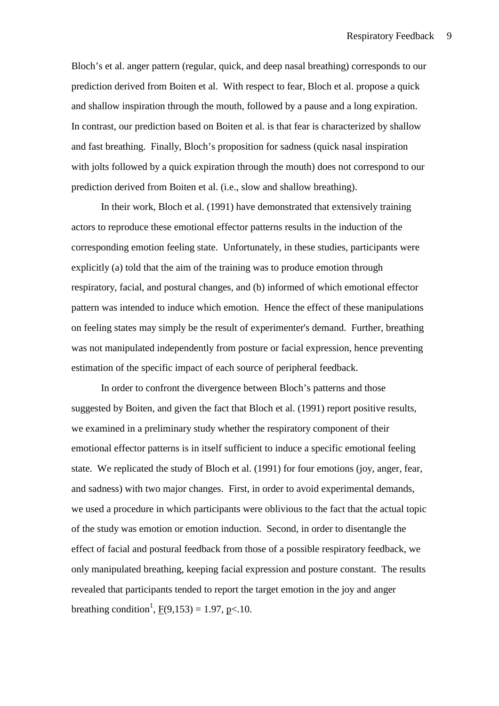Bloch's et al. anger pattern (regular, quick, and deep nasal breathing) corresponds to our prediction derived from Boiten et al. With respect to fear, Bloch et al. propose a quick and shallow inspiration through the mouth, followed by a pause and a long expiration. In contrast, our prediction based on Boiten et al. is that fear is characterized by shallow and fast breathing. Finally, Bloch's proposition for sadness (quick nasal inspiration with jolts followed by a quick expiration through the mouth) does not correspond to our prediction derived from Boiten et al. (i.e., slow and shallow breathing).

 In their work, Bloch et al. (1991) have demonstrated that extensively training actors to reproduce these emotional effector patterns results in the induction of the corresponding emotion feeling state. Unfortunately, in these studies, participants were explicitly (a) told that the aim of the training was to produce emotion through respiratory, facial, and postural changes, and (b) informed of which emotional effector pattern was intended to induce which emotion. Hence the effect of these manipulations on feeling states may simply be the result of experimenter's demand. Further, breathing was not manipulated independently from posture or facial expression, hence preventing estimation of the specific impact of each source of peripheral feedback.

 In order to confront the divergence between Bloch's patterns and those suggested by Boiten, and given the fact that Bloch et al. (1991) report positive results, we examined in a preliminary study whether the respiratory component of their emotional effector patterns is in itself sufficient to induce a specific emotional feeling state. We replicated the study of Bloch et al. (1991) for four emotions (joy, anger, fear, and sadness) with two major changes. First, in order to avoid experimental demands, we used a procedure in which participants were oblivious to the fact that the actual topic of the study was emotion or emotion induction. Second, in order to disentangle the effect of facial and postural feedback from those of a possible respiratory feedback, we only manipulated breathing, keeping facial expression and posture constant. The results revealed that participants tended to report the target emotion in the joy and anger breathing condition<sup>1</sup>,  $\underline{F}(9,153) = 1.97$ , p<.10.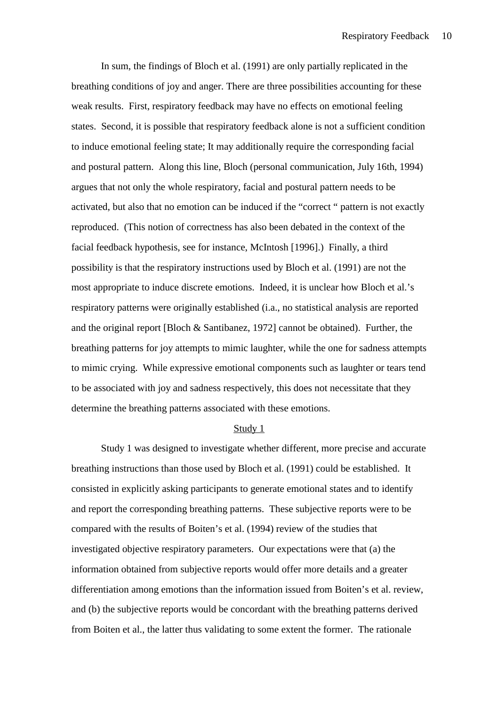In sum, the findings of Bloch et al. (1991) are only partially replicated in the breathing conditions of joy and anger. There are three possibilities accounting for these weak results. First, respiratory feedback may have no effects on emotional feeling states. Second, it is possible that respiratory feedback alone is not a sufficient condition to induce emotional feeling state; It may additionally require the corresponding facial and postural pattern. Along this line, Bloch (personal communication, July 16th, 1994) argues that not only the whole respiratory, facial and postural pattern needs to be activated, but also that no emotion can be induced if the "correct " pattern is not exactly reproduced. (This notion of correctness has also been debated in the context of the facial feedback hypothesis, see for instance, McIntosh [1996].) Finally, a third possibility is that the respiratory instructions used by Bloch et al. (1991) are not the most appropriate to induce discrete emotions. Indeed, it is unclear how Bloch et al.'s respiratory patterns were originally established (i.a., no statistical analysis are reported and the original report [Bloch & Santibanez, 1972] cannot be obtained). Further, the breathing patterns for joy attempts to mimic laughter, while the one for sadness attempts to mimic crying. While expressive emotional components such as laughter or tears tend to be associated with joy and sadness respectively, this does not necessitate that they determine the breathing patterns associated with these emotions.

### Study 1

 Study 1 was designed to investigate whether different, more precise and accurate breathing instructions than those used by Bloch et al. (1991) could be established. It consisted in explicitly asking participants to generate emotional states and to identify and report the corresponding breathing patterns. These subjective reports were to be compared with the results of Boiten's et al. (1994) review of the studies that investigated objective respiratory parameters. Our expectations were that (a) the information obtained from subjective reports would offer more details and a greater differentiation among emotions than the information issued from Boiten's et al. review, and (b) the subjective reports would be concordant with the breathing patterns derived from Boiten et al., the latter thus validating to some extent the former. The rationale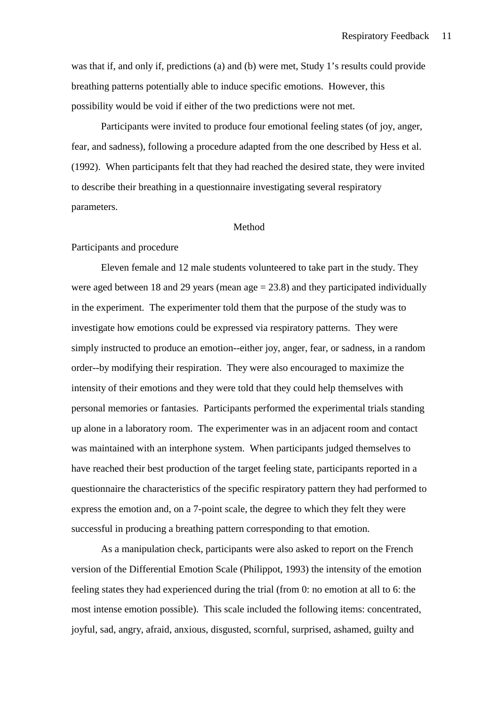was that if, and only if, predictions (a) and (b) were met, Study 1's results could provide breathing patterns potentially able to induce specific emotions. However, this possibility would be void if either of the two predictions were not met.

 Participants were invited to produce four emotional feeling states (of joy, anger, fear, and sadness), following a procedure adapted from the one described by Hess et al. (1992). When participants felt that they had reached the desired state, they were invited to describe their breathing in a questionnaire investigating several respiratory parameters.

#### Method

## Participants and procedure

 Eleven female and 12 male students volunteered to take part in the study. They were aged between 18 and 29 years (mean age = 23.8) and they participated individually in the experiment. The experimenter told them that the purpose of the study was to investigate how emotions could be expressed via respiratory patterns. They were simply instructed to produce an emotion--either joy, anger, fear, or sadness, in a random order--by modifying their respiration. They were also encouraged to maximize the intensity of their emotions and they were told that they could help themselves with personal memories or fantasies. Participants performed the experimental trials standing up alone in a laboratory room. The experimenter was in an adjacent room and contact was maintained with an interphone system. When participants judged themselves to have reached their best production of the target feeling state, participants reported in a questionnaire the characteristics of the specific respiratory pattern they had performed to express the emotion and, on a 7-point scale, the degree to which they felt they were successful in producing a breathing pattern corresponding to that emotion.

As a manipulation check, participants were also asked to report on the French version of the Differential Emotion Scale (Philippot, 1993) the intensity of the emotion feeling states they had experienced during the trial (from 0: no emotion at all to 6: the most intense emotion possible). This scale included the following items: concentrated, joyful, sad, angry, afraid, anxious, disgusted, scornful, surprised, ashamed, guilty and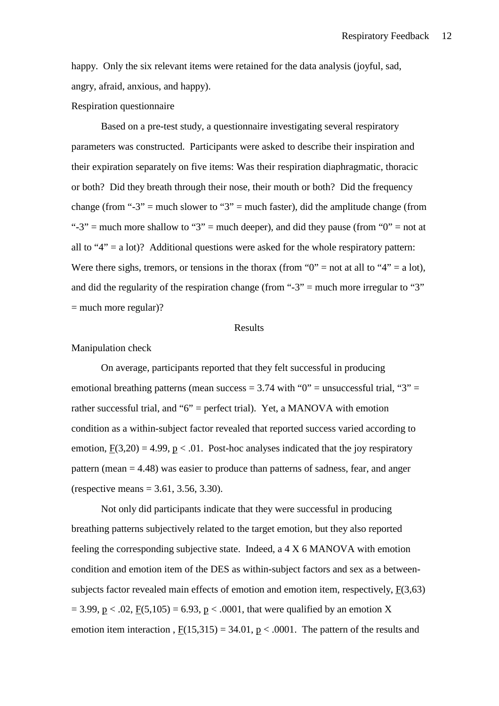happy. Only the six relevant items were retained for the data analysis (joyful, sad, angry, afraid, anxious, and happy).

## Respiration questionnaire

 Based on a pre-test study, a questionnaire investigating several respiratory parameters was constructed. Participants were asked to describe their inspiration and their expiration separately on five items: Was their respiration diaphragmatic, thoracic or both? Did they breath through their nose, their mouth or both? Did the frequency change (from "-3" = much slower to "3" = much faster), did the amplitude change (from "-3" = much more shallow to "3" = much deeper), and did they pause (from "0" = not at all to "4" = a lot)? Additional questions were asked for the whole respiratory pattern: Were there sighs, tremors, or tensions in the thorax (from " $0$ " = not at all to "4" = a lot), and did the regularity of the respiration change (from "-3"  $=$  much more irregular to "3")  $=$  much more regular)?

## Results

## Manipulation check

 On average, participants reported that they felt successful in producing emotional breathing patterns (mean success  $= 3.74$  with "0" = unsuccessful trial, "3" = rather successful trial, and "6" = perfect trial). Yet, a MANOVA with emotion condition as a within-subject factor revealed that reported success varied according to emotion,  $F(3,20) = 4.99$ ,  $p < .01$ . Post-hoc analyses indicated that the joy respiratory pattern (mean = 4.48) was easier to produce than patterns of sadness, fear, and anger (respective means =  $3.61, 3.56, 3.30$ ).

 Not only did participants indicate that they were successful in producing breathing patterns subjectively related to the target emotion, but they also reported feeling the corresponding subjective state. Indeed, a 4 X 6 MANOVA with emotion condition and emotion item of the DES as within-subject factors and sex as a betweensubjects factor revealed main effects of emotion and emotion item, respectively, F(3,63)  $= 3.99$ , p < .02, F(5,105) = 6.93, p < .0001, that were qualified by an emotion X emotion item interaction,  $F(15,315) = 34.01$ ,  $p < .0001$ . The pattern of the results and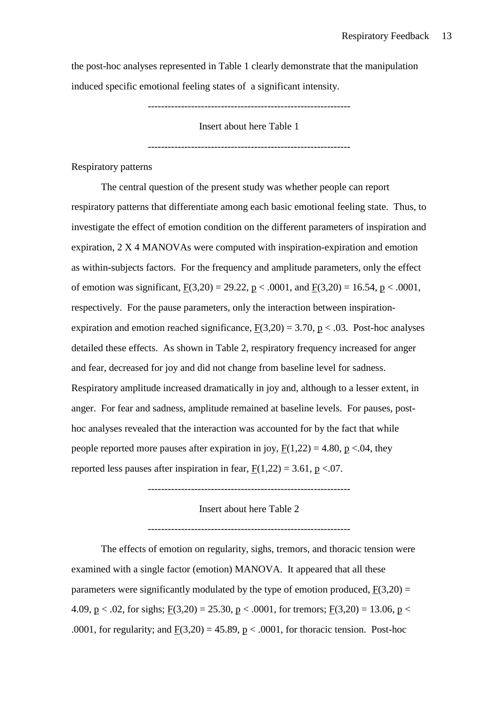the post-hoc analyses represented in Table 1 clearly demonstrate that the manipulation induced specific emotional feeling states of a significant intensity.

Insert about here Table 1

-------------------------------------------------------------

-------------------------------------------------------------

Respiratory patterns

 The central question of the present study was whether people can report respiratory patterns that differentiate among each basic emotional feeling state. Thus, to investigate the effect of emotion condition on the different parameters of inspiration and expiration, 2 X 4 MANOVAs were computed with inspiration-expiration and emotion as within-subjects factors. For the frequency and amplitude parameters, only the effect of emotion was significant,  $F(3,20) = 29.22$ ,  $p < .0001$ , and  $F(3,20) = 16.54$ ,  $p < .0001$ , respectively. For the pause parameters, only the interaction between inspirationexpiration and emotion reached significance,  $F(3,20) = 3.70$ ,  $p < .03$ . Post-hoc analyses detailed these effects. As shown in Table 2, respiratory frequency increased for anger and fear, decreased for joy and did not change from baseline level for sadness. Respiratory amplitude increased dramatically in joy and, although to a lesser extent, in anger. For fear and sadness, amplitude remained at baseline levels. For pauses, posthoc analyses revealed that the interaction was accounted for by the fact that while people reported more pauses after expiration in joy,  $F(1,22) = 4.80$ , p <.04, they reported less pauses after inspiration in fear,  $F(1,22) = 3.61$ ,  $p < 07$ .

-------------------------------------------------------------

Insert about here Table 2

-------------------------------------------------------------

 The effects of emotion on regularity, sighs, tremors, and thoracic tension were examined with a single factor (emotion) MANOVA. It appeared that all these parameters were significantly modulated by the type of emotion produced,  $F(3,20) =$ 4.09, p < .02, for sighs; F(3,20) = 25.30, p < .0001, for tremors; F(3,20) = 13.06, p < .0001, for regularity; and  $F(3,20) = 45.89$ ,  $p < .0001$ , for thoracic tension. Post-hoc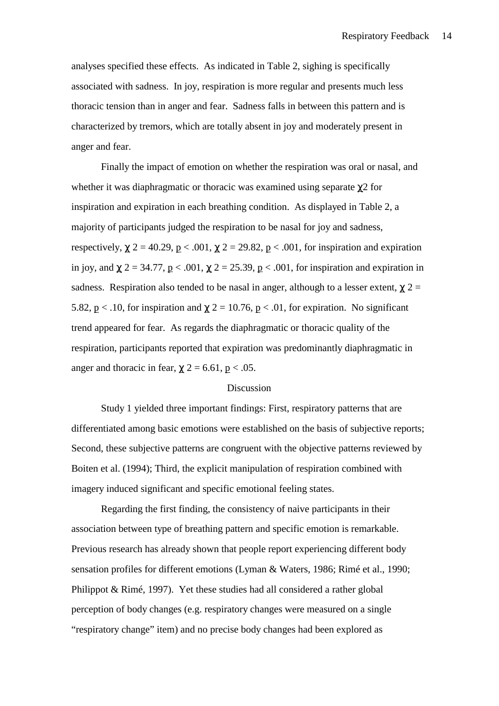analyses specified these effects. As indicated in Table 2, sighing is specifically associated with sadness. In joy, respiration is more regular and presents much less thoracic tension than in anger and fear. Sadness falls in between this pattern and is characterized by tremors, which are totally absent in joy and moderately present in anger and fear.

 Finally the impact of emotion on whether the respiration was oral or nasal, and whether it was diaphragmatic or thoracic was examined using separate  $\gamma$ 2 for inspiration and expiration in each breathing condition. As displayed in Table 2, a majority of participants judged the respiration to be nasal for joy and sadness, respectively,  $\chi$  2 = 40.29, p < .001,  $\chi$  2 = 29.82, p < .001, for inspiration and expiration in joy, and  $\gamma$  2 = 34.77, p < .001,  $\gamma$  2 = 25.39, p < .001, for inspiration and expiration in sadness. Respiration also tended to be nasal in anger, although to a lesser extent,  $\gamma$  2 = 5.82,  $p < .10$ , for inspiration and  $\gamma$  2 = 10.76,  $p < .01$ , for expiration. No significant trend appeared for fear. As regards the diaphragmatic or thoracic quality of the respiration, participants reported that expiration was predominantly diaphragmatic in anger and thoracic in fear,  $\chi$  2 = 6.61, p < .05.

#### Discussion

 Study 1 yielded three important findings: First, respiratory patterns that are differentiated among basic emotions were established on the basis of subjective reports; Second, these subjective patterns are congruent with the objective patterns reviewed by Boiten et al. (1994); Third, the explicit manipulation of respiration combined with imagery induced significant and specific emotional feeling states.

 Regarding the first finding, the consistency of naive participants in their association between type of breathing pattern and specific emotion is remarkable. Previous research has already shown that people report experiencing different body sensation profiles for different emotions (Lyman & Waters, 1986; Rimé et al., 1990; Philippot & Rimé, 1997). Yet these studies had all considered a rather global perception of body changes (e.g. respiratory changes were measured on a single "respiratory change" item) and no precise body changes had been explored as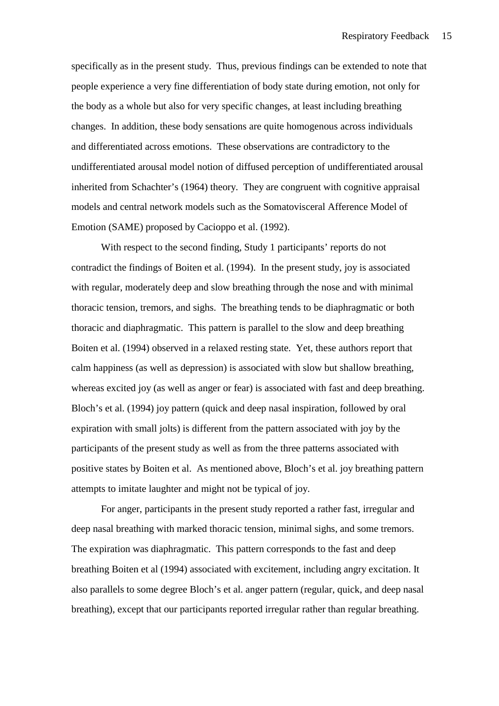specifically as in the present study. Thus, previous findings can be extended to note that people experience a very fine differentiation of body state during emotion, not only for the body as a whole but also for very specific changes, at least including breathing changes. In addition, these body sensations are quite homogenous across individuals and differentiated across emotions. These observations are contradictory to the undifferentiated arousal model notion of diffused perception of undifferentiated arousal inherited from Schachter's (1964) theory. They are congruent with cognitive appraisal models and central network models such as the Somatovisceral Afference Model of Emotion (SAME) proposed by Cacioppo et al. (1992).

With respect to the second finding, Study 1 participants' reports do not contradict the findings of Boiten et al. (1994). In the present study, joy is associated with regular, moderately deep and slow breathing through the nose and with minimal thoracic tension, tremors, and sighs. The breathing tends to be diaphragmatic or both thoracic and diaphragmatic. This pattern is parallel to the slow and deep breathing Boiten et al. (1994) observed in a relaxed resting state. Yet, these authors report that calm happiness (as well as depression) is associated with slow but shallow breathing, whereas excited joy (as well as anger or fear) is associated with fast and deep breathing. Bloch's et al. (1994) joy pattern (quick and deep nasal inspiration, followed by oral expiration with small jolts) is different from the pattern associated with joy by the participants of the present study as well as from the three patterns associated with positive states by Boiten et al. As mentioned above, Bloch's et al. joy breathing pattern attempts to imitate laughter and might not be typical of joy.

 For anger, participants in the present study reported a rather fast, irregular and deep nasal breathing with marked thoracic tension, minimal sighs, and some tremors. The expiration was diaphragmatic. This pattern corresponds to the fast and deep breathing Boiten et al (1994) associated with excitement, including angry excitation. It also parallels to some degree Bloch's et al. anger pattern (regular, quick, and deep nasal breathing), except that our participants reported irregular rather than regular breathing.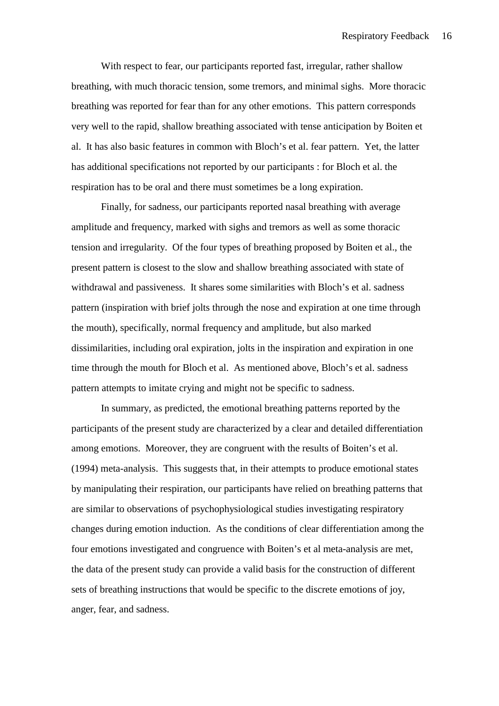With respect to fear, our participants reported fast, irregular, rather shallow breathing, with much thoracic tension, some tremors, and minimal sighs. More thoracic breathing was reported for fear than for any other emotions. This pattern corresponds very well to the rapid, shallow breathing associated with tense anticipation by Boiten et al. It has also basic features in common with Bloch's et al. fear pattern. Yet, the latter has additional specifications not reported by our participants : for Bloch et al. the respiration has to be oral and there must sometimes be a long expiration.

 Finally, for sadness, our participants reported nasal breathing with average amplitude and frequency, marked with sighs and tremors as well as some thoracic tension and irregularity. Of the four types of breathing proposed by Boiten et al., the present pattern is closest to the slow and shallow breathing associated with state of withdrawal and passiveness. It shares some similarities with Bloch's et al. sadness pattern (inspiration with brief jolts through the nose and expiration at one time through the mouth), specifically, normal frequency and amplitude, but also marked dissimilarities, including oral expiration, jolts in the inspiration and expiration in one time through the mouth for Bloch et al. As mentioned above, Bloch's et al. sadness pattern attempts to imitate crying and might not be specific to sadness.

 In summary, as predicted, the emotional breathing patterns reported by the participants of the present study are characterized by a clear and detailed differentiation among emotions. Moreover, they are congruent with the results of Boiten's et al. (1994) meta-analysis. This suggests that, in their attempts to produce emotional states by manipulating their respiration, our participants have relied on breathing patterns that are similar to observations of psychophysiological studies investigating respiratory changes during emotion induction. As the conditions of clear differentiation among the four emotions investigated and congruence with Boiten's et al meta-analysis are met, the data of the present study can provide a valid basis for the construction of different sets of breathing instructions that would be specific to the discrete emotions of joy, anger, fear, and sadness.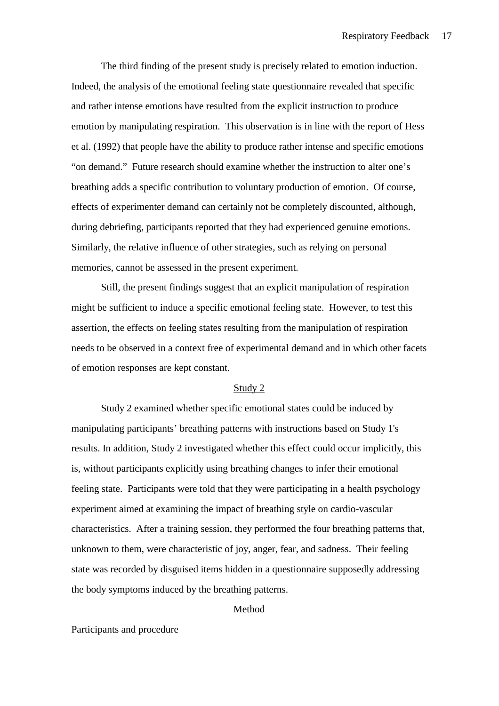The third finding of the present study is precisely related to emotion induction. Indeed, the analysis of the emotional feeling state questionnaire revealed that specific and rather intense emotions have resulted from the explicit instruction to produce emotion by manipulating respiration. This observation is in line with the report of Hess et al. (1992) that people have the ability to produce rather intense and specific emotions "on demand." Future research should examine whether the instruction to alter one's breathing adds a specific contribution to voluntary production of emotion. Of course, effects of experimenter demand can certainly not be completely discounted, although, during debriefing, participants reported that they had experienced genuine emotions. Similarly, the relative influence of other strategies, such as relying on personal memories, cannot be assessed in the present experiment.

 Still, the present findings suggest that an explicit manipulation of respiration might be sufficient to induce a specific emotional feeling state. However, to test this assertion, the effects on feeling states resulting from the manipulation of respiration needs to be observed in a context free of experimental demand and in which other facets of emotion responses are kept constant.

#### Study 2

 Study 2 examined whether specific emotional states could be induced by manipulating participants' breathing patterns with instructions based on Study 1's results. In addition, Study 2 investigated whether this effect could occur implicitly, this is, without participants explicitly using breathing changes to infer their emotional feeling state. Participants were told that they were participating in a health psychology experiment aimed at examining the impact of breathing style on cardio-vascular characteristics. After a training session, they performed the four breathing patterns that, unknown to them, were characteristic of joy, anger, fear, and sadness. Their feeling state was recorded by disguised items hidden in a questionnaire supposedly addressing the body symptoms induced by the breathing patterns.

## Method

Participants and procedure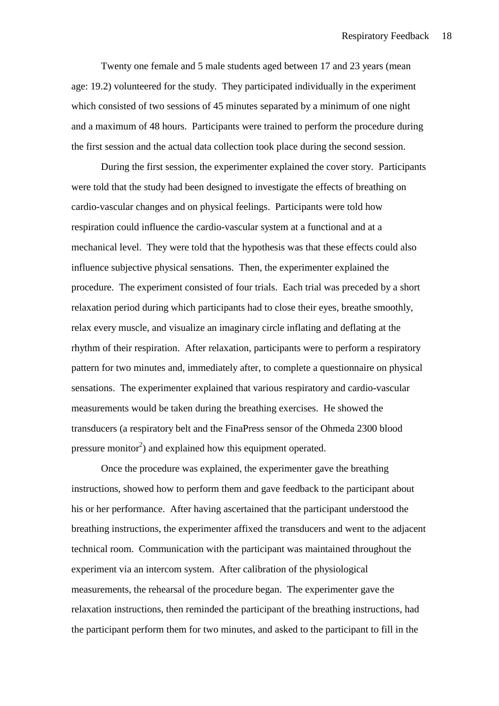Twenty one female and 5 male students aged between 17 and 23 years (mean age: 19.2) volunteered for the study. They participated individually in the experiment which consisted of two sessions of 45 minutes separated by a minimum of one night and a maximum of 48 hours. Participants were trained to perform the procedure during the first session and the actual data collection took place during the second session.

 During the first session, the experimenter explained the cover story. Participants were told that the study had been designed to investigate the effects of breathing on cardio-vascular changes and on physical feelings. Participants were told how respiration could influence the cardio-vascular system at a functional and at a mechanical level. They were told that the hypothesis was that these effects could also influence subjective physical sensations. Then, the experimenter explained the procedure. The experiment consisted of four trials. Each trial was preceded by a short relaxation period during which participants had to close their eyes, breathe smoothly, relax every muscle, and visualize an imaginary circle inflating and deflating at the rhythm of their respiration. After relaxation, participants were to perform a respiratory pattern for two minutes and, immediately after, to complete a questionnaire on physical sensations. The experimenter explained that various respiratory and cardio-vascular measurements would be taken during the breathing exercises. He showed the transducers (a respiratory belt and the FinaPress sensor of the Ohmeda 2300 blood pressure monitor<sup>2</sup>) and explained how this equipment operated.

 Once the procedure was explained, the experimenter gave the breathing instructions, showed how to perform them and gave feedback to the participant about his or her performance. After having ascertained that the participant understood the breathing instructions, the experimenter affixed the transducers and went to the adjacent technical room. Communication with the participant was maintained throughout the experiment via an intercom system. After calibration of the physiological measurements, the rehearsal of the procedure began. The experimenter gave the relaxation instructions, then reminded the participant of the breathing instructions, had the participant perform them for two minutes, and asked to the participant to fill in the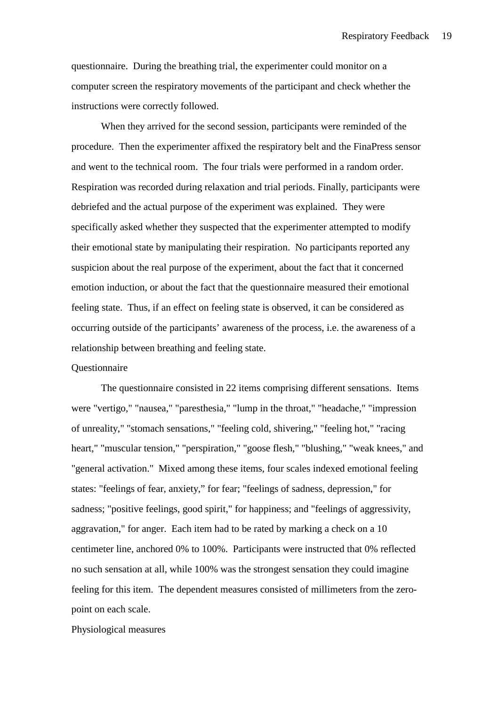questionnaire. During the breathing trial, the experimenter could monitor on a computer screen the respiratory movements of the participant and check whether the instructions were correctly followed.

 When they arrived for the second session, participants were reminded of the procedure. Then the experimenter affixed the respiratory belt and the FinaPress sensor and went to the technical room. The four trials were performed in a random order. Respiration was recorded during relaxation and trial periods. Finally, participants were debriefed and the actual purpose of the experiment was explained. They were specifically asked whether they suspected that the experimenter attempted to modify their emotional state by manipulating their respiration. No participants reported any suspicion about the real purpose of the experiment, about the fact that it concerned emotion induction, or about the fact that the questionnaire measured their emotional feeling state. Thus, if an effect on feeling state is observed, it can be considered as occurring outside of the participants' awareness of the process, i.e. the awareness of a relationship between breathing and feeling state.

## Questionnaire

 The questionnaire consisted in 22 items comprising different sensations. Items were "vertigo," "nausea," "paresthesia," "lump in the throat," "headache," "impression of unreality," "stomach sensations," "feeling cold, shivering," "feeling hot," "racing heart," "muscular tension," "perspiration," "goose flesh," "blushing," "weak knees," and "general activation." Mixed among these items, four scales indexed emotional feeling states: "feelings of fear, anxiety," for fear; "feelings of sadness, depression," for sadness; "positive feelings, good spirit," for happiness; and "feelings of aggressivity, aggravation," for anger. Each item had to be rated by marking a check on a 10 centimeter line, anchored 0% to 100%. Participants were instructed that 0% reflected no such sensation at all, while 100% was the strongest sensation they could imagine feeling for this item. The dependent measures consisted of millimeters from the zeropoint on each scale.

Physiological measures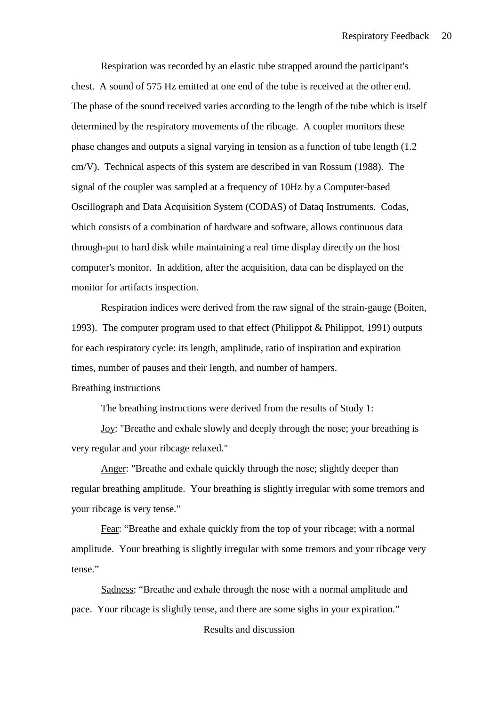Respiration was recorded by an elastic tube strapped around the participant's chest. A sound of 575 Hz emitted at one end of the tube is received at the other end. The phase of the sound received varies according to the length of the tube which is itself determined by the respiratory movements of the ribcage. A coupler monitors these phase changes and outputs a signal varying in tension as a function of tube length (1.2 cm/V). Technical aspects of this system are described in van Rossum (1988). The signal of the coupler was sampled at a frequency of 10Hz by a Computer-based Oscillograph and Data Acquisition System (CODAS) of Dataq Instruments. Codas, which consists of a combination of hardware and software, allows continuous data through-put to hard disk while maintaining a real time display directly on the host computer's monitor. In addition, after the acquisition, data can be displayed on the monitor for artifacts inspection.

 Respiration indices were derived from the raw signal of the strain-gauge (Boiten, 1993). The computer program used to that effect (Philippot & Philippot, 1991) outputs for each respiratory cycle: its length, amplitude, ratio of inspiration and expiration times, number of pauses and their length, and number of hampers.

Breathing instructions

The breathing instructions were derived from the results of Study 1:

 Joy: "Breathe and exhale slowly and deeply through the nose; your breathing is very regular and your ribcage relaxed."

Anger: "Breathe and exhale quickly through the nose; slightly deeper than regular breathing amplitude. Your breathing is slightly irregular with some tremors and your ribcage is very tense."

Fear: "Breathe and exhale quickly from the top of your ribcage; with a normal amplitude. Your breathing is slightly irregular with some tremors and your ribcage very tense."

Sadness: "Breathe and exhale through the nose with a normal amplitude and pace. Your ribcage is slightly tense, and there are some sighs in your expiration."

Results and discussion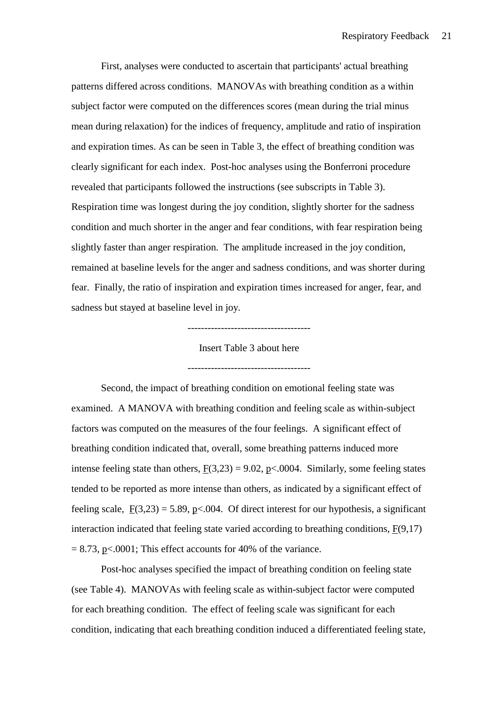First, analyses were conducted to ascertain that participants' actual breathing patterns differed across conditions. MANOVAs with breathing condition as a within subject factor were computed on the differences scores (mean during the trial minus mean during relaxation) for the indices of frequency, amplitude and ratio of inspiration and expiration times. As can be seen in Table 3, the effect of breathing condition was clearly significant for each index. Post-hoc analyses using the Bonferroni procedure revealed that participants followed the instructions (see subscripts in Table 3). Respiration time was longest during the joy condition, slightly shorter for the sadness condition and much shorter in the anger and fear conditions, with fear respiration being slightly faster than anger respiration. The amplitude increased in the joy condition, remained at baseline levels for the anger and sadness conditions, and was shorter during fear. Finally, the ratio of inspiration and expiration times increased for anger, fear, and sadness but stayed at baseline level in joy.

-------------------------------------

Insert Table 3 about here

-------------------------------------

 Second, the impact of breathing condition on emotional feeling state was examined. A MANOVA with breathing condition and feeling scale as within-subject factors was computed on the measures of the four feelings. A significant effect of breathing condition indicated that, overall, some breathing patterns induced more intense feeling state than others,  $F(3,23) = 9.02$ , p<.0004. Similarly, some feeling states tended to be reported as more intense than others, as indicated by a significant effect of feeling scale,  $F(3,23) = 5.89$ , p<.004. Of direct interest for our hypothesis, a significant interaction indicated that feeling state varied according to breathing conditions, F(9,17)  $= 8.73$ , p<.0001; This effect accounts for 40% of the variance.

 Post-hoc analyses specified the impact of breathing condition on feeling state (see Table 4). MANOVAs with feeling scale as within-subject factor were computed for each breathing condition. The effect of feeling scale was significant for each condition, indicating that each breathing condition induced a differentiated feeling state,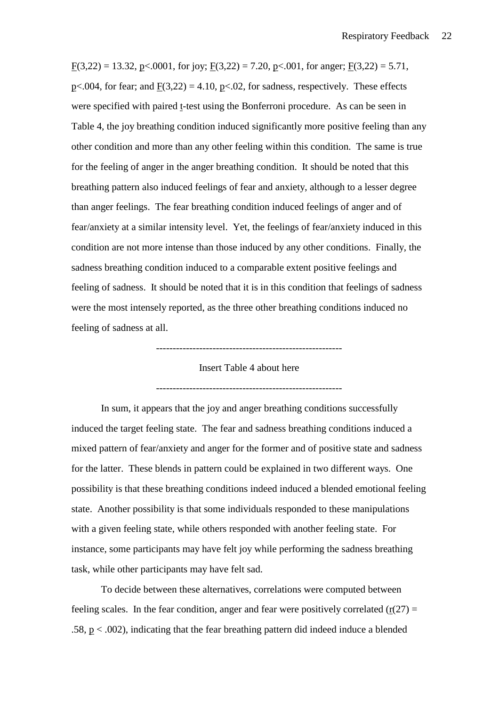$F(3,22) = 13.32$ , p<.0001, for joy;  $F(3,22) = 7.20$ , p<.001, for anger;  $F(3,22) = 5.71$ , p $<0.004$ , for fear; and F(3,22) = 4.10, p $<0.02$ , for sadness, respectively. These effects were specified with paired t-test using the Bonferroni procedure. As can be seen in Table 4, the joy breathing condition induced significantly more positive feeling than any other condition and more than any other feeling within this condition. The same is true for the feeling of anger in the anger breathing condition. It should be noted that this breathing pattern also induced feelings of fear and anxiety, although to a lesser degree than anger feelings. The fear breathing condition induced feelings of anger and of fear/anxiety at a similar intensity level. Yet, the feelings of fear/anxiety induced in this condition are not more intense than those induced by any other conditions. Finally, the sadness breathing condition induced to a comparable extent positive feelings and feeling of sadness. It should be noted that it is in this condition that feelings of sadness were the most intensely reported, as the three other breathing conditions induced no feeling of sadness at all.

--------------------------------------------------------

Insert Table 4 about here

--------------------------------------------------------

 In sum, it appears that the joy and anger breathing conditions successfully induced the target feeling state. The fear and sadness breathing conditions induced a mixed pattern of fear/anxiety and anger for the former and of positive state and sadness for the latter. These blends in pattern could be explained in two different ways. One possibility is that these breathing conditions indeed induced a blended emotional feeling state. Another possibility is that some individuals responded to these manipulations with a given feeling state, while others responded with another feeling state. For instance, some participants may have felt joy while performing the sadness breathing task, while other participants may have felt sad.

 To decide between these alternatives, correlations were computed between feeling scales. In the fear condition, anger and fear were positively correlated  $(r(27) =$  $.58$ ,  $p < .002$ ), indicating that the fear breathing pattern did indeed induce a blended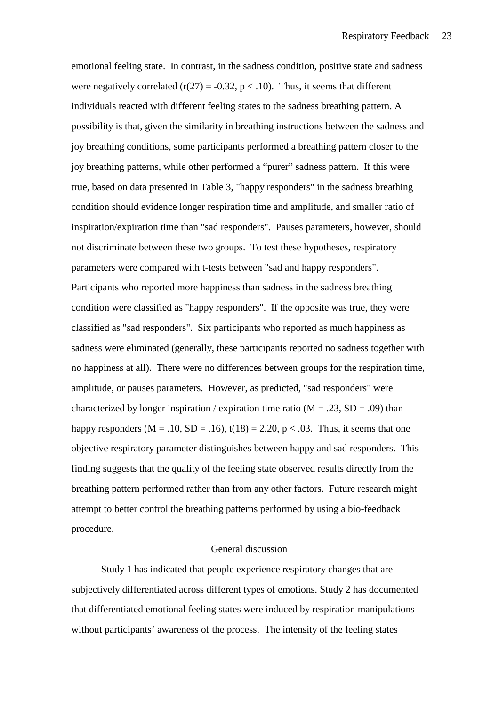emotional feeling state. In contrast, in the sadness condition, positive state and sadness were negatively correlated ( $r(27) = -0.32$ ,  $p < .10$ ). Thus, it seems that different individuals reacted with different feeling states to the sadness breathing pattern. A possibility is that, given the similarity in breathing instructions between the sadness and joy breathing conditions, some participants performed a breathing pattern closer to the joy breathing patterns, while other performed a "purer" sadness pattern. If this were true, based on data presented in Table 3, "happy responders" in the sadness breathing condition should evidence longer respiration time and amplitude, and smaller ratio of inspiration/expiration time than "sad responders". Pauses parameters, however, should not discriminate between these two groups. To test these hypotheses, respiratory parameters were compared with t-tests between "sad and happy responders". Participants who reported more happiness than sadness in the sadness breathing condition were classified as "happy responders". If the opposite was true, they were classified as "sad responders". Six participants who reported as much happiness as sadness were eliminated (generally, these participants reported no sadness together with no happiness at all). There were no differences between groups for the respiration time, amplitude, or pauses parameters. However, as predicted, "sad responders" were characterized by longer inspiration / expiration time ratio ( $M = .23$ ,  $SD = .09$ ) than happy responders ( $\underline{M} = .10$ ,  $\underline{SD} = .16$ ),  $\underline{t}(18) = 2.20$ ,  $\underline{p} < .03$ . Thus, it seems that one objective respiratory parameter distinguishes between happy and sad responders. This finding suggests that the quality of the feeling state observed results directly from the breathing pattern performed rather than from any other factors. Future research might attempt to better control the breathing patterns performed by using a bio-feedback procedure.

## General discussion

 Study 1 has indicated that people experience respiratory changes that are subjectively differentiated across different types of emotions. Study 2 has documented that differentiated emotional feeling states were induced by respiration manipulations without participants' awareness of the process. The intensity of the feeling states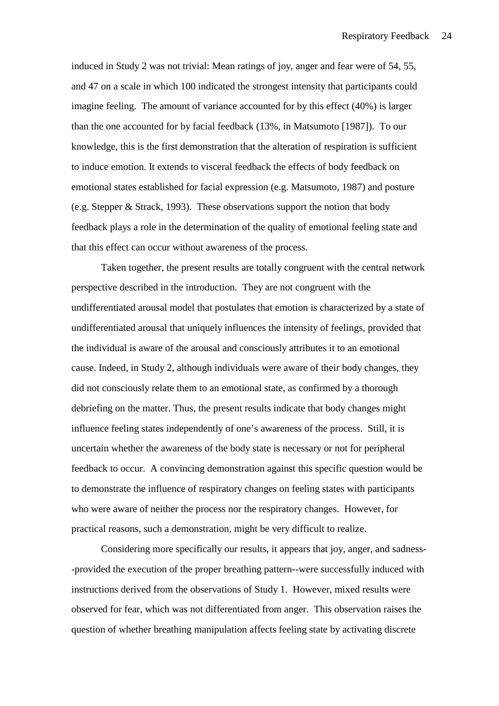induced in Study 2 was not trivial: Mean ratings of joy, anger and fear were of 54, 55, and 47 on a scale in which 100 indicated the strongest intensity that participants could imagine feeling. The amount of variance accounted for by this effect (40%) is larger than the one accounted for by facial feedback (13%, in Matsumoto [1987]). To our knowledge, this is the first demonstration that the alteration of respiration is sufficient to induce emotion. It extends to visceral feedback the effects of body feedback on emotional states established for facial expression (e.g. Matsumoto, 1987) and posture (e.g. Stepper & Strack, 1993). These observations support the notion that body feedback plays a role in the determination of the quality of emotional feeling state and that this effect can occur without awareness of the process.

 Taken together, the present results are totally congruent with the central network perspective described in the introduction. They are not congruent with the undifferentiated arousal model that postulates that emotion is characterized by a state of undifferentiated arousal that uniquely influences the intensity of feelings, provided that the individual is aware of the arousal and consciously attributes it to an emotional cause. Indeed, in Study 2, although individuals were aware of their body changes, they did not consciously relate them to an emotional state, as confirmed by a thorough debriefing on the matter. Thus, the present results indicate that body changes might influence feeling states independently of one's awareness of the process. Still, it is uncertain whether the awareness of the body state is necessary or not for peripheral feedback to occur. A convincing demonstration against this specific question would be to demonstrate the influence of respiratory changes on feeling states with participants who were aware of neither the process nor the respiratory changes. However, for practical reasons, such a demonstration, might be very difficult to realize.

 Considering more specifically our results, it appears that joy, anger, and sadness- -provided the execution of the proper breathing pattern--were successfully induced with instructions derived from the observations of Study 1. However, mixed results were observed for fear, which was not differentiated from anger. This observation raises the question of whether breathing manipulation affects feeling state by activating discrete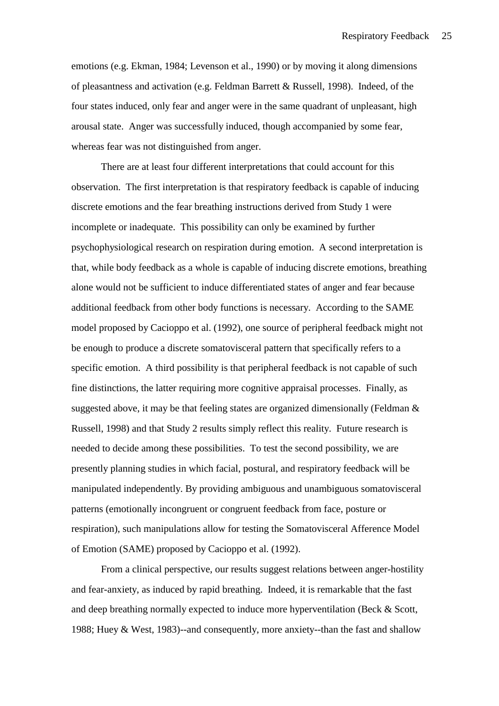emotions (e.g. Ekman, 1984; Levenson et al., 1990) or by moving it along dimensions of pleasantness and activation (e.g. Feldman Barrett & Russell, 1998). Indeed, of the four states induced, only fear and anger were in the same quadrant of unpleasant, high arousal state. Anger was successfully induced, though accompanied by some fear, whereas fear was not distinguished from anger.

 There are at least four different interpretations that could account for this observation. The first interpretation is that respiratory feedback is capable of inducing discrete emotions and the fear breathing instructions derived from Study 1 were incomplete or inadequate. This possibility can only be examined by further psychophysiological research on respiration during emotion. A second interpretation is that, while body feedback as a whole is capable of inducing discrete emotions, breathing alone would not be sufficient to induce differentiated states of anger and fear because additional feedback from other body functions is necessary. According to the SAME model proposed by Cacioppo et al. (1992), one source of peripheral feedback might not be enough to produce a discrete somatovisceral pattern that specifically refers to a specific emotion. A third possibility is that peripheral feedback is not capable of such fine distinctions, the latter requiring more cognitive appraisal processes. Finally, as suggested above, it may be that feeling states are organized dimensionally (Feldman & Russell, 1998) and that Study 2 results simply reflect this reality. Future research is needed to decide among these possibilities. To test the second possibility, we are presently planning studies in which facial, postural, and respiratory feedback will be manipulated independently. By providing ambiguous and unambiguous somatovisceral patterns (emotionally incongruent or congruent feedback from face, posture or respiration), such manipulations allow for testing the Somatovisceral Afference Model of Emotion (SAME) proposed by Cacioppo et al. (1992).

 From a clinical perspective, our results suggest relations between anger-hostility and fear-anxiety, as induced by rapid breathing. Indeed, it is remarkable that the fast and deep breathing normally expected to induce more hyperventilation (Beck & Scott, 1988; Huey & West, 1983)--and consequently, more anxiety--than the fast and shallow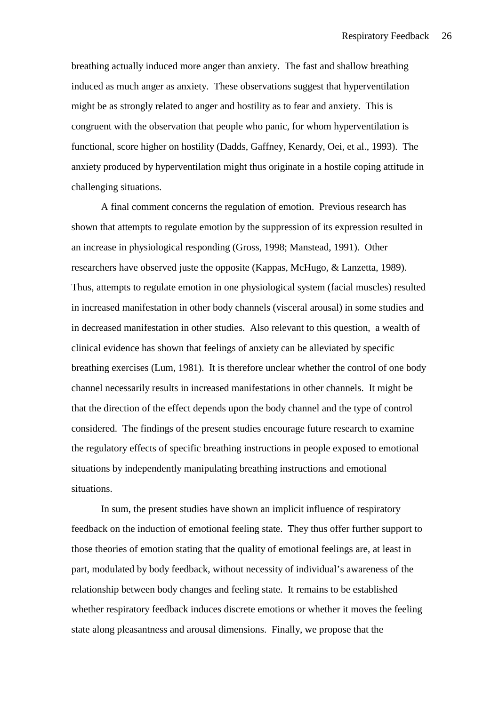breathing actually induced more anger than anxiety. The fast and shallow breathing induced as much anger as anxiety. These observations suggest that hyperventilation might be as strongly related to anger and hostility as to fear and anxiety. This is congruent with the observation that people who panic, for whom hyperventilation is functional, score higher on hostility (Dadds, Gaffney, Kenardy, Oei, et al., 1993). The anxiety produced by hyperventilation might thus originate in a hostile coping attitude in challenging situations.

 A final comment concerns the regulation of emotion. Previous research has shown that attempts to regulate emotion by the suppression of its expression resulted in an increase in physiological responding (Gross, 1998; Manstead, 1991). Other researchers have observed juste the opposite (Kappas, McHugo, & Lanzetta, 1989). Thus, attempts to regulate emotion in one physiological system (facial muscles) resulted in increased manifestation in other body channels (visceral arousal) in some studies and in decreased manifestation in other studies. Also relevant to this question, a wealth of clinical evidence has shown that feelings of anxiety can be alleviated by specific breathing exercises (Lum, 1981). It is therefore unclear whether the control of one body channel necessarily results in increased manifestations in other channels. It might be that the direction of the effect depends upon the body channel and the type of control considered. The findings of the present studies encourage future research to examine the regulatory effects of specific breathing instructions in people exposed to emotional situations by independently manipulating breathing instructions and emotional situations.

 In sum, the present studies have shown an implicit influence of respiratory feedback on the induction of emotional feeling state. They thus offer further support to those theories of emotion stating that the quality of emotional feelings are, at least in part, modulated by body feedback, without necessity of individual's awareness of the relationship between body changes and feeling state. It remains to be established whether respiratory feedback induces discrete emotions or whether it moves the feeling state along pleasantness and arousal dimensions. Finally, we propose that the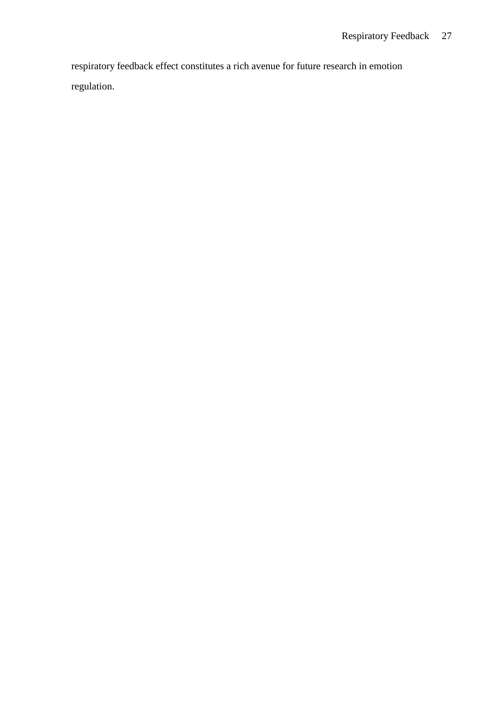respiratory feedback effect constitutes a rich avenue for future research in emotion regulation.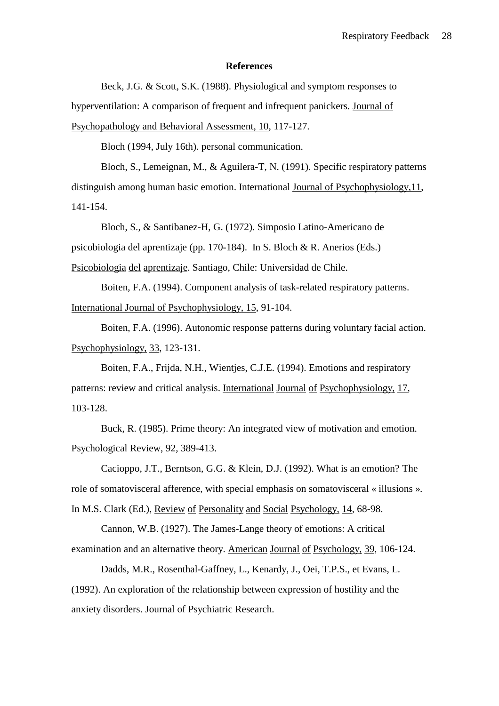### **References**

Beck, J.G. & Scott, S.K. (1988). Physiological and symptom responses to hyperventilation: A comparison of frequent and infrequent panickers. Journal of Psychopathology and Behavioral Assessment, 10, 117-127.

Bloch (1994, July 16th). personal communication.

Bloch, S., Lemeignan, M., & Aguilera-T, N. (1991). Specific respiratory patterns distinguish among human basic emotion. International Journal of Psychophysiology,11, 141-154.

Bloch, S., & Santibanez-H, G. (1972). Simposio Latino-Americano de psicobiologia del aprentizaje (pp. 170-184). In S. Bloch & R. Anerios (Eds.) Psicobiologia del aprentizaje. Santiago, Chile: Universidad de Chile.

Boiten, F.A. (1994). Component analysis of task-related respiratory patterns. International Journal of Psychophysiology, 15, 91-104.

Boiten, F.A. (1996). Autonomic response patterns during voluntary facial action. Psychophysiology, 33, 123-131.

Boiten, F.A., Frijda, N.H., Wientjes, C.J.E. (1994). Emotions and respiratory patterns: review and critical analysis. International Journal of Psychophysiology, 17, 103-128.

Buck, R. (1985). Prime theory: An integrated view of motivation and emotion. Psychological Review, 92, 389-413.

Cacioppo, J.T., Berntson, G.G. & Klein, D.J. (1992). What is an emotion? The role of somatovisceral afference, with special emphasis on somatovisceral « illusions ». In M.S. Clark (Ed.), Review of Personality and Social Psychology, 14, 68-98.

Cannon, W.B. (1927). The James-Lange theory of emotions: A critical examination and an alternative theory. American Journal of Psychology, 39, 106-124.

Dadds, M.R., Rosenthal-Gaffney, L., Kenardy, J., Oei, T.P.S., et Evans, L. (1992). An exploration of the relationship between expression of hostility and the anxiety disorders. Journal of Psychiatric Research.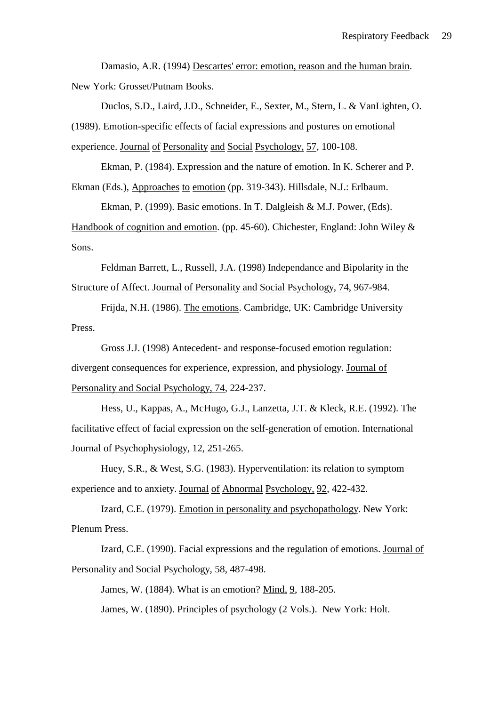Damasio, A.R. (1994) Descartes' error: emotion, reason and the human brain. New York: Grosset/Putnam Books.

Duclos, S.D., Laird, J.D., Schneider, E., Sexter, M., Stern, L. & VanLighten, O. (1989). Emotion-specific effects of facial expressions and postures on emotional experience. Journal of Personality and Social Psychology, 57, 100-108.

Ekman, P. (1984). Expression and the nature of emotion. In K. Scherer and P. Ekman (Eds.), Approaches to emotion (pp. 319-343). Hillsdale, N.J.: Erlbaum.

Ekman, P. (1999). Basic emotions. In T. Dalgleish & M.J. Power, (Eds). Handbook of cognition and emotion. (pp. 45-60). Chichester, England: John Wiley & Sons.

Feldman Barrett, L., Russell, J.A. (1998) Independance and Bipolarity in the Structure of Affect. Journal of Personality and Social Psychology, 74, 967-984.

Frijda, N.H. (1986). The emotions. Cambridge, UK: Cambridge University Press.

Gross J.J. (1998) Antecedent- and response-focused emotion regulation: divergent consequences for experience, expression, and physiology. Journal of Personality and Social Psychology, 74, 224-237.

Hess, U., Kappas, A., McHugo, G.J., Lanzetta, J.T. & Kleck, R.E. (1992). The facilitative effect of facial expression on the self-generation of emotion. International Journal of Psychophysiology, 12, 251-265.

Huey, S.R., & West, S.G. (1983). Hyperventilation: its relation to symptom experience and to anxiety. Journal of Abnormal Psychology, 92, 422-432.

Izard, C.E. (1979). Emotion in personality and psychopathology. New York: Plenum Press.

Izard, C.E. (1990). Facial expressions and the regulation of emotions. Journal of Personality and Social Psychology, 58, 487-498.

James, W. (1884). What is an emotion? Mind, 9, 188-205.

James, W. (1890). Principles of psychology (2 Vols.). New York: Holt.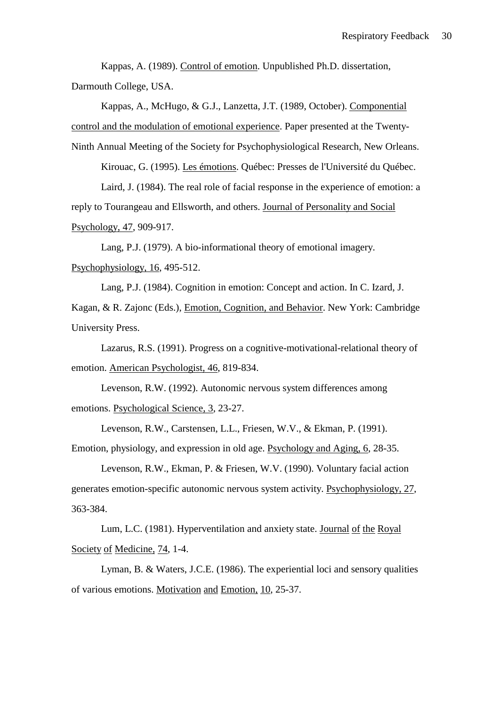Kappas, A. (1989). Control of emotion. Unpublished Ph.D. dissertation, Darmouth College, USA.

Kappas, A., McHugo, & G.J., Lanzetta, J.T. (1989, October). Componential control and the modulation of emotional experience. Paper presented at the Twenty-Ninth Annual Meeting of the Society for Psychophysiological Research, New Orleans.

Kirouac, G. (1995). Les émotions. Québec: Presses de l'Université du Québec.

Laird, J. (1984). The real role of facial response in the experience of emotion: a reply to Tourangeau and Ellsworth, and others. Journal of Personality and Social Psychology, 47, 909-917.

Lang, P.J. (1979). A bio-informational theory of emotional imagery. Psychophysiology, 16, 495-512.

Lang, P.J. (1984). Cognition in emotion: Concept and action. In C. Izard, J. Kagan, & R. Zajonc (Eds.), Emotion, Cognition, and Behavior. New York: Cambridge University Press.

Lazarus, R.S. (1991). Progress on a cognitive-motivational-relational theory of emotion. American Psychologist, 46, 819-834.

Levenson, R.W. (1992). Autonomic nervous system differences among emotions. Psychological Science, 3, 23-27.

Levenson, R.W., Carstensen, L.L., Friesen, W.V., & Ekman, P. (1991).

Emotion, physiology, and expression in old age. Psychology and Aging, 6, 28-35.

Levenson, R.W., Ekman, P. & Friesen, W.V. (1990). Voluntary facial action generates emotion-specific autonomic nervous system activity. Psychophysiology, 27, 363-384.

Lum, L.C. (1981). Hyperventilation and anxiety state. Journal of the Royal Society of Medicine, 74, 1-4.

Lyman, B. & Waters, J.C.E. (1986). The experiential loci and sensory qualities of various emotions. Motivation and Emotion, 10, 25-37.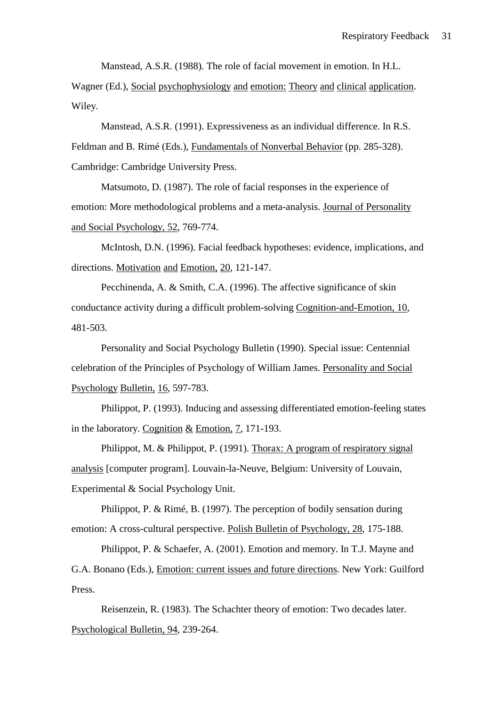Manstead, A.S.R. (1988). The role of facial movement in emotion. In H.L.

Wagner (Ed.), Social psychophysiology and emotion: Theory and clinical application. Wiley.

Manstead, A.S.R. (1991). Expressiveness as an individual difference. In R.S. Feldman and B. Rimé (Eds.), Fundamentals of Nonverbal Behavior (pp. 285-328). Cambridge: Cambridge University Press.

Matsumoto, D. (1987). The role of facial responses in the experience of emotion: More methodological problems and a meta-analysis. Journal of Personality and Social Psychology, 52, 769-774.

McIntosh, D.N. (1996). Facial feedback hypotheses: evidence, implications, and directions. Motivation and Emotion, 20, 121-147.

Pecchinenda, A. & Smith, C.A. (1996). The affective significance of skin conductance activity during a difficult problem-solving Cognition-and-Emotion, 10, 481-503.

Personality and Social Psychology Bulletin (1990). Special issue: Centennial celebration of the Principles of Psychology of William James. Personality and Social Psychology Bulletin, 16, 597-783.

Philippot, P. (1993). Inducing and assessing differentiated emotion-feeling states in the laboratory. Cognition  $&$  Emotion, 7, 171-193.

Philippot, M. & Philippot, P. (1991). Thorax: A program of respiratory signal analysis [computer program]. Louvain-la-Neuve, Belgium: University of Louvain, Experimental & Social Psychology Unit.

Philippot, P. & Rimé, B. (1997). The perception of bodily sensation during emotion: A cross-cultural perspective. Polish Bulletin of Psychology, 28, 175-188.

Philippot, P. & Schaefer, A. (2001). Emotion and memory. In T.J. Mayne and G.A. Bonano (Eds.), Emotion: current issues and future directions. New York: Guilford Press.

Reisenzein, R. (1983). The Schachter theory of emotion: Two decades later. Psychological Bulletin, 94, 239-264.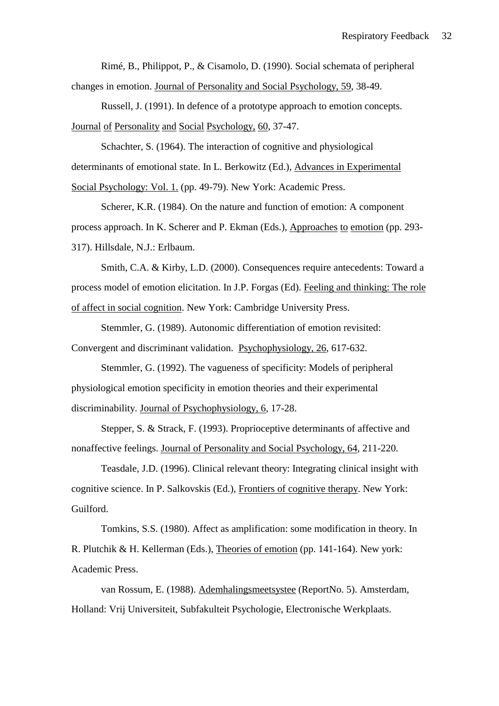Rimé, B., Philippot, P., & Cisamolo, D. (1990). Social schemata of peripheral changes in emotion. Journal of Personality and Social Psychology, 59, 38-49.

Russell, J. (1991). In defence of a prototype approach to emotion concepts. Journal of Personality and Social Psychology, 60, 37-47.

Schachter, S. (1964). The interaction of cognitive and physiological determinants of emotional state. In L. Berkowitz (Ed.), Advances in Experimental Social Psychology: Vol. 1. (pp. 49-79). New York: Academic Press.

Scherer, K.R. (1984). On the nature and function of emotion: A component process approach. In K. Scherer and P. Ekman (Eds.), Approaches to emotion (pp. 293- 317). Hillsdale, N.J.: Erlbaum.

Smith, C.A. & Kirby, L.D. (2000). Consequences require antecedents: Toward a process model of emotion elicitation. In J.P. Forgas (Ed). Feeling and thinking: The role of affect in social cognition. New York: Cambridge University Press.

Stemmler, G. (1989). Autonomic differentiation of emotion revisited: Convergent and discriminant validation. Psychophysiology, 26, 617-632.

Stemmler, G. (1992). The vagueness of specificity: Models of peripheral physiological emotion specificity in emotion theories and their experimental discriminability. Journal of Psychophysiology, 6, 17-28.

Stepper, S. & Strack, F. (1993). Proprioceptive determinants of affective and nonaffective feelings. Journal of Personality and Social Psychology, 64, 211-220.

Teasdale, J.D. (1996). Clinical relevant theory: Integrating clinical insight with cognitive science. In P. Salkovskis (Ed.), Frontiers of cognitive therapy. New York: Guilford.

Tomkins, S.S. (1980). Affect as amplification: some modification in theory. In R. Plutchik & H. Kellerman (Eds.), Theories of emotion (pp. 141-164). New york: Academic Press.

van Rossum, E. (1988). Ademhalingsmeetsystee (ReportNo. 5). Amsterdam, Holland: Vrij Universiteit, Subfakulteit Psychologie, Electronische Werkplaats.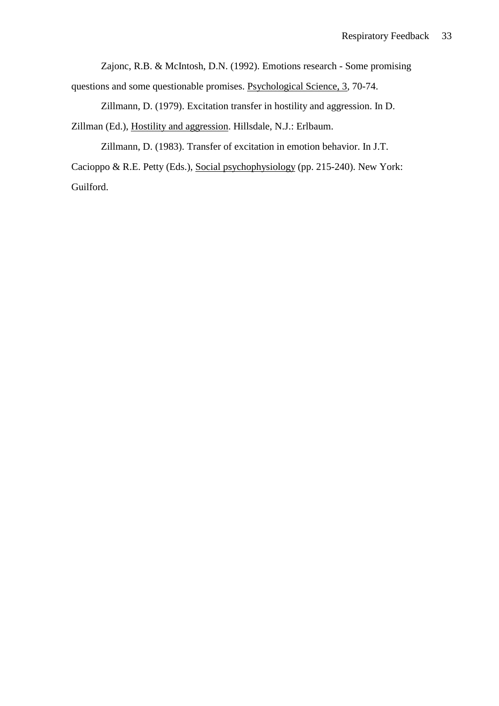Zajonc, R.B. & McIntosh, D.N. (1992). Emotions research - Some promising questions and some questionable promises. Psychological Science, 3, 70-74.

Zillmann, D. (1979). Excitation transfer in hostility and aggression. In D. Zillman (Ed.), Hostility and aggression. Hillsdale, N.J.: Erlbaum.

Zillmann, D. (1983). Transfer of excitation in emotion behavior. In J.T. Cacioppo & R.E. Petty (Eds.), Social psychophysiology (pp. 215-240). New York: Guilford.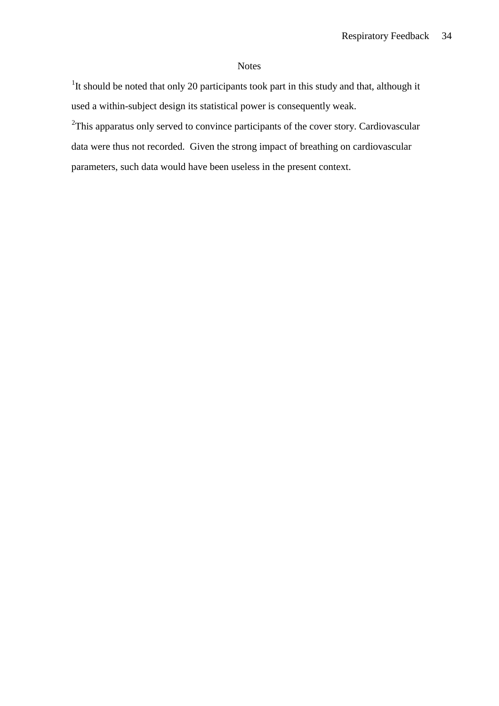## Notes

<sup>1</sup>It should be noted that only 20 participants took part in this study and that, although it used a within-subject design its statistical power is consequently weak.

 $2$ This apparatus only served to convince participants of the cover story. Cardiovascular data were thus not recorded. Given the strong impact of breathing on cardiovascular parameters, such data would have been useless in the present context.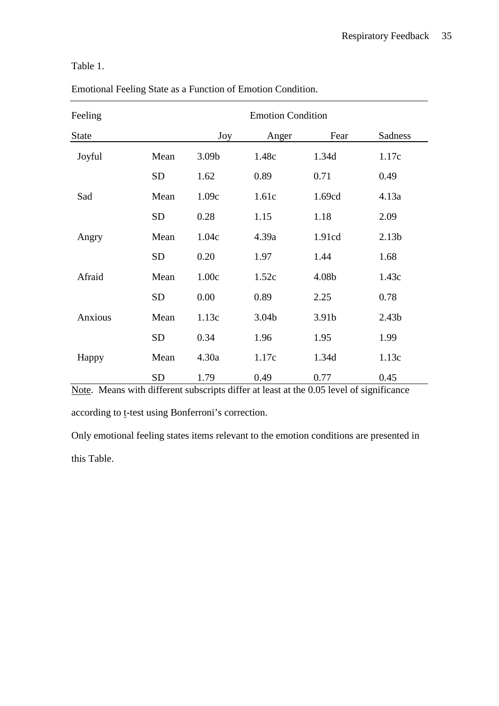Table 1.

| Feeling      |           | <b>Emotion Condition</b> |       |        |                   |  |
|--------------|-----------|--------------------------|-------|--------|-------------------|--|
| <b>State</b> |           | Joy                      | Anger | Fear   | Sadness           |  |
| Joyful       | Mean      | 3.09b                    | 1.48c | 1.34d  | 1.17c             |  |
|              | <b>SD</b> | 1.62                     | 0.89  | 0.71   | 0.49              |  |
| Sad          | Mean      | 1.09c                    | 1.61c | 1.69cd | 4.13a             |  |
|              | <b>SD</b> | 0.28                     | 1.15  | 1.18   | 2.09              |  |
| Angry        | Mean      | 1.04c                    | 4.39a | 1.91cd | 2.13 <sub>b</sub> |  |
|              | <b>SD</b> | 0.20                     | 1.97  | 1.44   | 1.68              |  |
| Afraid       | Mean      | 1.00c                    | 1.52c | 4.08b  | 1.43c             |  |
|              | <b>SD</b> | 0.00                     | 0.89  | 2.25   | 0.78              |  |
| Anxious      | Mean      | 1.13c                    | 3.04b | 3.91b  | 2.43 <sub>b</sub> |  |
|              | <b>SD</b> | 0.34                     | 1.96  | 1.95   | 1.99              |  |
| Happy        | Mean      | 4.30a                    | 1.17c | 1.34d  | 1.13c             |  |
|              | SD        | 1.79                     | 0.49  | 0.77   | 0.45              |  |

Emotional Feeling State as a Function of Emotion Condition.

Note. Means with different subscripts differ at least at the 0.05 level of significance

according to t-test using Bonferroni's correction.

Only emotional feeling states items relevant to the emotion conditions are presented in this Table.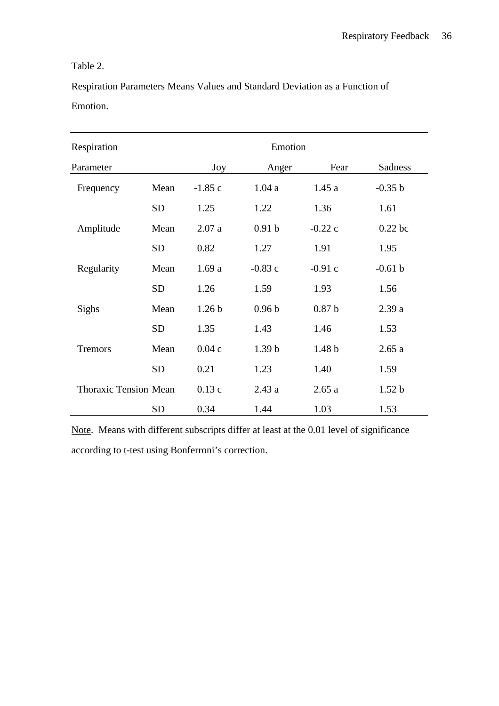# Table 2.

Respiration Parameters Means Values and Standard Deviation as a Function of Emotion.

| Respiration                  |           | Emotion           |                   |                   |                   |  |
|------------------------------|-----------|-------------------|-------------------|-------------------|-------------------|--|
| Parameter                    |           | Joy               | Anger             | Fear              | Sadness           |  |
| Frequency                    | Mean      | $-1.85c$          | 1.04a             | 1.45a             | $-0.35 b$         |  |
|                              | <b>SD</b> | 1.25              | 1.22              | 1.36              | 1.61              |  |
| Amplitude                    | Mean      | 2.07a             | 0.91 <sub>b</sub> | $-0.22c$          | $0.22$ bc         |  |
|                              | <b>SD</b> | 0.82              | 1.27              | 1.91              | 1.95              |  |
| Regularity                   | Mean      | 1.69a             | $-0.83c$          | $-0.91c$          | $-0.61 b$         |  |
|                              | <b>SD</b> | 1.26              | 1.59              | 1.93              | 1.56              |  |
| Sighs                        | Mean      | 1.26 <sub>b</sub> | 0.96 <sub>b</sub> | 0.87 <sub>b</sub> | 2.39a             |  |
|                              | <b>SD</b> | 1.35              | 1.43              | 1.46              | 1.53              |  |
| <b>Tremors</b>               | Mean      | 0.04c             | 1.39 <sub>b</sub> | 1.48 <sub>b</sub> | 2.65a             |  |
|                              | <b>SD</b> | 0.21              | 1.23              | 1.40              | 1.59              |  |
| <b>Thoraxic Tension Mean</b> |           | 0.13c             | 2.43a             | 2.65a             | 1.52 <sub>b</sub> |  |
|                              | <b>SD</b> | 0.34              | 1.44              | 1.03              | 1.53              |  |

Note. Means with different subscripts differ at least at the 0.01 level of significance according to t-test using Bonferroni's correction.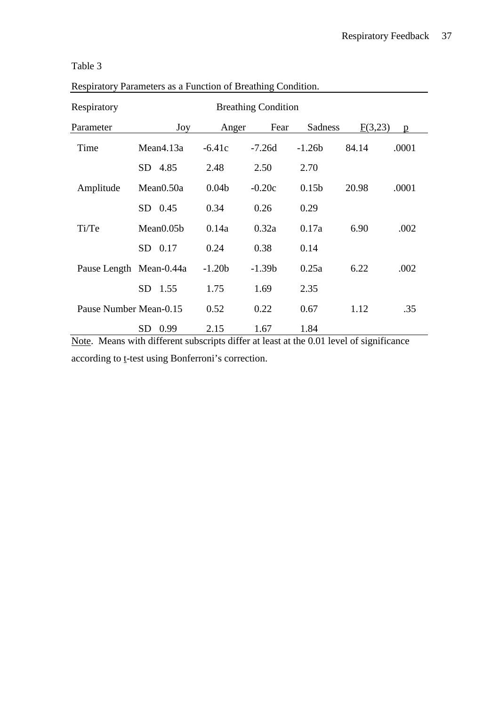| וו<br>aг |
|----------|
|----------|

| Respiratory             |           |              |                   | <b>Breathing Condition</b> |                   |         |       |
|-------------------------|-----------|--------------|-------------------|----------------------------|-------------------|---------|-------|
| Parameter               |           | Joy          | Anger             | Fear                       | Sadness           | E(3,23) | p     |
| Time                    |           | Mean $4.13a$ | $-6.41c$          | $-7.26d$                   | $-1.26b$          | 84.14   | .0001 |
|                         |           | SD 4.85      | 2.48              | 2.50                       | 2.70              |         |       |
| Amplitude               |           | Mean0.50a    | 0.04 <sub>b</sub> | $-0.20c$                   | 0.15 <sub>b</sub> | 20.98   | .0001 |
|                         |           | $SD$ 0.45    | 0.34              | 0.26                       | 0.29              |         |       |
| Ti/Te                   |           | Mean 0.05b   | 0.14a             | 0.32a                      | 0.17a             | 6.90    | .002  |
|                         |           | $SD$ 0.17    | 0.24              | 0.38                       | 0.14              |         |       |
| Pause Length Mean-0.44a |           |              | $-1.20b$          | $-1.39b$                   | 0.25a             | 6.22    | .002  |
|                         | <b>SD</b> | 1.55         | 1.75              | 1.69                       | 2.35              |         |       |
| Pause Number Mean-0.15  |           |              | 0.52              | 0.22                       | 0.67              | 1.12    | .35   |
|                         | <b>SD</b> | 0.99         | 2.15              | 1.67                       | 1.84              |         |       |

Respiratory Parameters as a Function of Breathing Condition.

Note. Means with different subscripts differ at least at the 0.01 level of significance according to t-test using Bonferroni's correction.